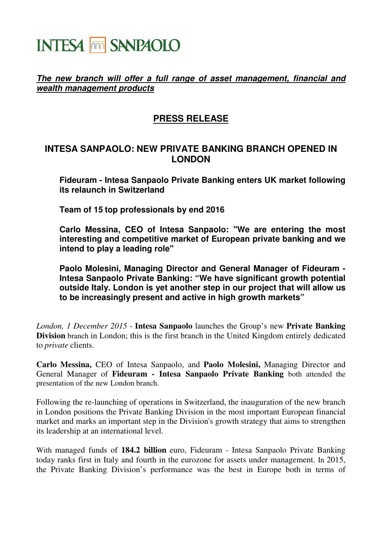## **INTESA THE SANPAOLO**

## **The new branch will offer a full range of asset management, financial and wealth management products**

## **PRESS RELEASE**

## **INTESA SANPAOLO: NEW PRIVATE BANKING BRANCH OPENED IN LONDON**

**Fideuram - Intesa Sanpaolo Private Banking enters UK market following its relaunch in Switzerland** 

**Team of 15 top professionals by end 2016** 

**Carlo Messina, CEO of Intesa Sanpaolo: "We are entering the most interesting and competitive market of European private banking and we intend to play a leading role"** 

**Paolo Molesini, Managing Director and General Manager of Fideuram - Intesa Sanpaolo Private Banking: "We have significant growth potential outside Italy. London is yet another step in our project that will allow us to be increasingly present and active in high growth markets"** 

*London, 1 December 2015* - **Intesa Sanpaolo** launches the Group's new **Private Banking Division** branch in London; this is the first branch in the United Kingdom entirely dedicated to *private* clients.

**Carlo Messina,** CEO of Intesa Sanpaolo, and **Paolo Molesini,** Managing Director and General Manager of **Fideuram - Intesa Sanpaolo Private Banking** both attended the presentation of the new London branch.

Following the re-launching of operations in Switzerland, the inauguration of the new branch in London positions the Private Banking Division in the most important European financial market and marks an important step in the Division's growth strategy that aims to strengthen its leadership at an international level.

With managed funds of **184.2 billion** euro, Fideuram - Intesa Sanpaolo Private Banking today ranks first in Italy and fourth in the eurozone for assets under management. In 2015, the Private Banking Division's performance was the best in Europe both in terms of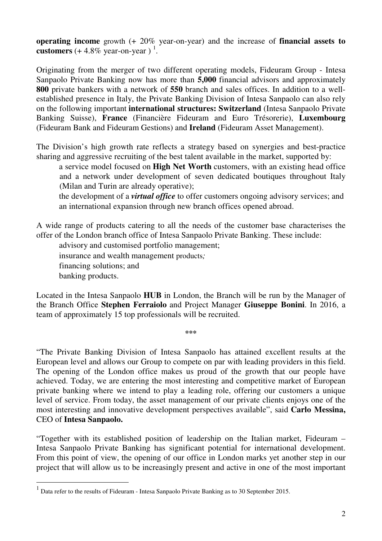**operating income** growth (+ 20% year-on-year) and the increase of **financial assets to customers**  $(+4.8\% \text{ year-on-year})$ <sup>1</sup>.

Originating from the merger of two different operating models, Fideuram Group - Intesa Sanpaolo Private Banking now has more than **5,000** financial advisors and approximately **800** private bankers with a network of **550** branch and sales offices. In addition to a wellestablished presence in Italy, the Private Banking Division of Intesa Sanpaolo can also rely on the following important **international structures: Switzerland** (Intesa Sanpaolo Private Banking Suisse), **France** (Financière Fideuram and Euro Trésorerie), **Luxembourg** (Fideuram Bank and Fideuram Gestions) and **Ireland** (Fideuram Asset Management).

The Division's high growth rate reflects a strategy based on synergies and best-practice sharing and aggressive recruiting of the best talent available in the market, supported by:

a service model focused on **High Net Worth** customers, with an existing head office and a network under development of seven dedicated boutiques throughout Italy (Milan and Turin are already operative);

the development of a *virtual office* to offer customers ongoing advisory services; and an international expansion through new branch offices opened abroad.

A wide range of products catering to all the needs of the customer base characterises the offer of the London branch office of Intesa Sanpaolo Private Banking. These include:

advisory and customised portfolio management;

insurance and wealth management products*;*

financing solutions; and

banking products.

 $\overline{a}$ 

Located in the Intesa Sanpaolo **HUB** in London, the Branch will be run by the Manager of the Branch Office **Stephen Ferraiolo** and Project Manager **Giuseppe Bonini**. In 2016, a team of approximately 15 top professionals will be recruited.

**\*\*\*** 

"The Private Banking Division of Intesa Sanpaolo has attained excellent results at the European level and allows our Group to compete on par with leading providers in this field. The opening of the London office makes us proud of the growth that our people have achieved. Today, we are entering the most interesting and competitive market of European private banking where we intend to play a leading role, offering our customers a unique level of service. From today, the asset management of our private clients enjoys one of the most interesting and innovative development perspectives available", said **Carlo Messina,** CEO of **Intesa Sanpaolo.**

"Together with its established position of leadership on the Italian market, Fideuram – Intesa Sanpaolo Private Banking has significant potential for international development. From this point of view, the opening of our office in London marks yet another step in our project that will allow us to be increasingly present and active in one of the most important

 $<sup>1</sup>$  Data refer to the results of Fideuram - Intesa Sanpaolo Private Banking as to 30 September 2015.</sup>